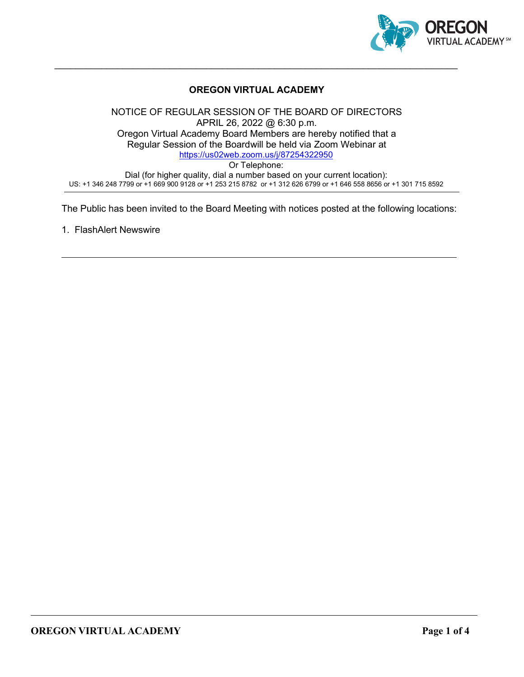

### **OREGON VIRTUAL ACADEMY**

 $\_$  , and the set of the set of the set of the set of the set of the set of the set of the set of the set of the set of the set of the set of the set of the set of the set of the set of the set of the set of the set of th

NOTICE OF REGULAR SESSION OF THE BOARD OF DIRECTORS APRIL 26, 2022 @ 6:30 p.m. Oregon Virtual Academy Board Members are hereby notified that a Regular Session of the Boardwill be held via Zoom Webinar at <https://us02web.zoom.us/j/87254322950> Or Telephone: Dial (for higher quality, dial a number based on your current location): US: +1 346 248 7799 or +1 669 900 9128 or +1 253 215 8782 or +1 312 626 6799 or +1 646 558 8656 or +1 301 715 8592

The Public has been invited to the Board Meeting with notices posted at the following locations:

1. FlashAlert Newswire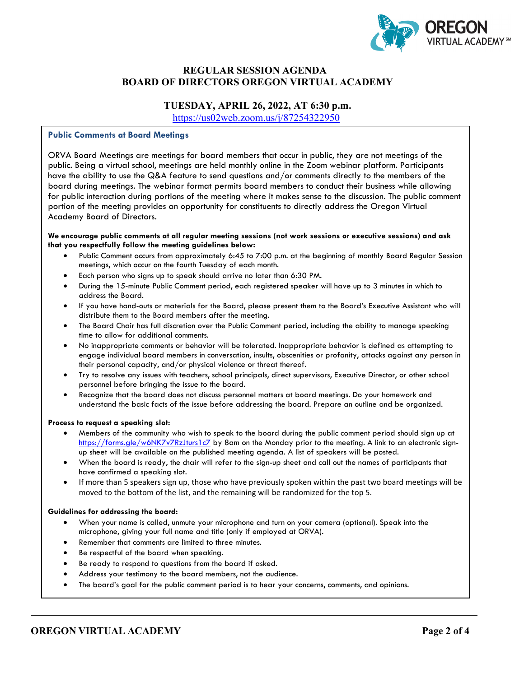

### **REGULAR SESSION AGENDA BOARD OF DIRECTORS OREGON VIRTUAL ACADEMY**

# **TUESDAY, APRIL 26, 2022, AT 6:30 p.m.**

<https://us02web.zoom.us/j/87254322950>

#### **Public Comments at Board Meetings**

ORVA Board Meetings are meetings for board members that occur in public, they are not meetings of the public. Being a virtual school, meetings are held monthly online in the Zoom webinar platform. Participants have the ability to use the Q&A feature to send questions and/or comments directly to the members of the board during meetings. The webinar format permits board members to conduct their business while allowing for public interaction during portions of the meeting where it makes sense to the discussion. The public comment portion of the meeting provides an opportunity for constituents to directly address the Oregon Virtual Academy Board of Directors.

#### **We encourage public comments at all regular meeting sessions (not work sessions or executive sessions) and ask that you respectfully follow the meeting guidelines below:**

- Public Comment occurs from approximately 6:45 to 7:00 p.m. at the beginning of monthly Board Regular Session meetings, which occur on the fourth Tuesday of each month.
- Each person who signs up to speak should arrive no later than 6:30 PM.
- During the 15-minute Public Comment period, each registered speaker will have up to 3 minutes in which to address the Board.
- If you have hand-outs or materials for the Board, please present them to the Board's Executive Assistant who will distribute them to the Board members after the meeting.
- The Board Chair has full discretion over the Public Comment period, including the ability to manage speaking time to allow for additional comments.
- No inappropriate comments or behavior will be tolerated. Inappropriate behavior is defined as attempting to engage individual board members in conversation, insults, obscenities or profanity, attacks against any person in their personal capacity, and/or physical violence or threat thereof.
- Try to resolve any issues with teachers, school principals, direct supervisors, Executive Director, or other school personnel before bringing the issue to the board.
- Recognize that the board does not discuss personnel matters at board meetings. Do your homework and understand the basic facts of the issue before addressing the board. Prepare an outline and be organized.

#### **Process to request a speaking slot:**

- Members of the community who wish to speak to the board during the public comment period should sign up at <https://forms.gle/w6NK7v7RzJturs1c7> by 8am on the Monday prior to the meeting. A link to an electronic signup sheet will be available on the published meeting agenda. A list of speakers will be posted.
- When the board is ready, the chair will refer to the sign-up sheet and call out the names of participants that have confirmed a speaking slot.
- If more than 5 speakers sign up, those who have previously spoken within the past two board meetings will be moved to the bottom of the list, and the remaining will be randomized for the top 5.

#### **Guidelines for addressing the board:**

- When your name is called, unmute your microphone and turn on your camera (optional). Speak into the microphone, giving your full name and title (only if employed at ORVA).
- Remember that comments are limited to three minutes.
- Be respectful of the board when speaking.
- Be ready to respond to questions from the board if asked.
- Address your testimony to the board members, not the audience.
- The board's goal for the public comment period is to hear your concerns, comments, and opinions.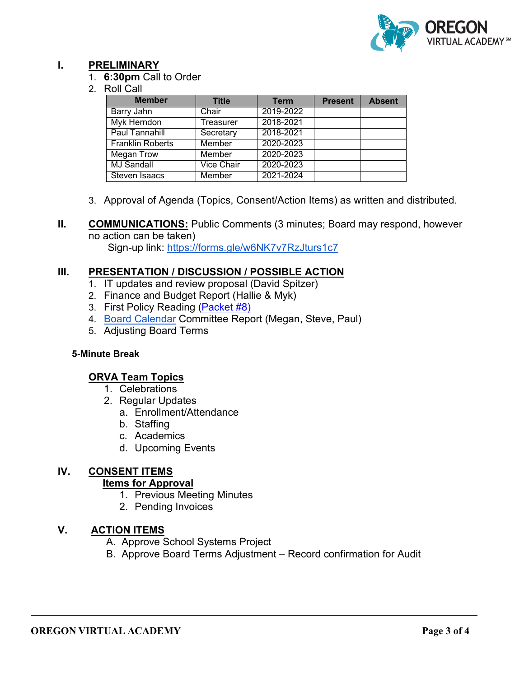

## **I. PRELIMINARY**

- 1. **6:30pm** Call to Order
- 2. Roll Call

| <b>Member</b>           | <b>Title</b> | <b>Term</b> | <b>Present</b> | <b>Absent</b> |
|-------------------------|--------------|-------------|----------------|---------------|
| Barry Jahn              | Chair        | 2019-2022   |                |               |
| <b>Myk Herndon</b>      | Treasurer    | 2018-2021   |                |               |
| <b>Paul Tannahill</b>   | Secretary    | 2018-2021   |                |               |
| <b>Franklin Roberts</b> | Member       | 2020-2023   |                |               |
| Megan Trow              | Member       | 2020-2023   |                |               |
| <b>MJ Sandall</b>       | Vice Chair   | 2020-2023   |                |               |
| Steven Isaacs           | Member       | 2021-2024   |                |               |

3. Approval of Agenda (Topics, Consent/Action Items) as written and distributed.

Sign-up link:<https://forms.gle/w6NK7v7RzJturs1c7>

## **III. PRESENTATION / DISCUSSION / POSSIBLE ACTION**

- 1. IT updates and review proposal (David Spitzer)
- 2. Finance and Budget Report (Hallie & Myk)
- 3. First Policy Reading [\(Packet #8\)](https://drive.google.com/drive/folders/1qEVTMrO4bgnTfstdFKg8IHICtg-no_sJ?usp=sharing)
- 4. [Board Calendar](https://docs.google.com/document/d/1tVrSGJ6v5gCtv5NNlIoGCFS6zIGPmcuhm6aP9laESig/edit?usp=sharing) Committee Report (Megan, Steve, Paul)
- 5. Adjusting Board Terms

### **5-Minute Break**

## **ORVA Team Topics**

- 1. Celebrations
- 2. Regular Updates
	- a. Enrollment/Attendance
	- b. Staffing
	- c. Academics
	- d. Upcoming Events

### **IV. CONSENT ITEMS Items for Approval**

- 1. Previous Meeting Minutes
- 2. Pending Invoices

## **V. ACTION ITEMS**

- A. Approve School Systems Project
- B. Approve Board Terms Adjustment Record confirmation for Audit

**II. COMMUNICATIONS:** Public Comments (3 minutes; Board may respond, however no action can be taken)